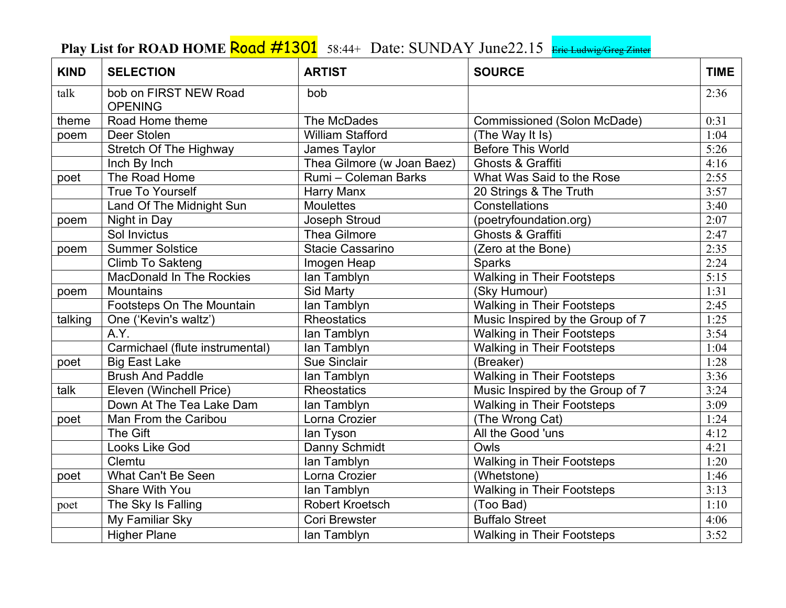## Play List for ROAD HOME **Road #1301** 58:44+ Date: SUNDAY June22.15 Eric Ludwig/Greg Zinter

| <b>KIND</b> | <b>SELECTION</b>                        | <b>ARTIST</b>              | <b>SOURCE</b>                     | <b>TIME</b> |
|-------------|-----------------------------------------|----------------------------|-----------------------------------|-------------|
| talk        | bob on FIRST NEW Road<br><b>OPENING</b> | bob                        |                                   | 2:36        |
| theme       | Road Home theme                         | The McDades                | Commissioned (Solon McDade)       | 0:31        |
| poem        | Deer Stolen                             | <b>William Stafford</b>    | (The Way It Is)                   | 1:04        |
|             | <b>Stretch Of The Highway</b>           | James Taylor               | <b>Before This World</b>          | 5:26        |
|             | Inch By Inch                            | Thea Gilmore (w Joan Baez) | Ghosts & Graffiti                 | 4:16        |
| poet        | The Road Home                           | Rumi - Coleman Barks       | What Was Said to the Rose         | 2:55        |
|             | <b>True To Yourself</b>                 | Harry Manx                 | 20 Strings & The Truth            | 3:57        |
|             | Land Of The Midnight Sun                | <b>Moulettes</b>           | Constellations                    | 3:40        |
| poem        | Night in Day                            | <b>Joseph Stroud</b>       | (poetryfoundation.org)            | 2:07        |
|             | Sol Invictus                            | <b>Thea Gilmore</b>        | Ghosts & Graffiti                 | 2:47        |
| poem        | <b>Summer Solstice</b>                  | Stacie Cassarino           | (Zero at the Bone)                | 2:35        |
|             | Climb To Sakteng                        | Imogen Heap                | <b>Sparks</b>                     | 2:24        |
|             | <b>MacDonald In The Rockies</b>         | lan Tamblyn                | <b>Walking in Their Footsteps</b> | 5:15        |
| poem        | <b>Mountains</b>                        | Sid Marty                  | (Sky Humour)                      | 1:31        |
|             | Footsteps On The Mountain               | lan Tamblyn                | <b>Walking in Their Footsteps</b> | 2:45        |
| talking     | One ('Kevin's waltz')                   | <b>Rheostatics</b>         | Music Inspired by the Group of 7  | 1:25        |
|             | A.Y.                                    | lan Tamblyn                | <b>Walking in Their Footsteps</b> | 3:54        |
|             | Carmichael (flute instrumental)         | lan Tamblyn                | <b>Walking in Their Footsteps</b> | 1:04        |
| poet        | <b>Big East Lake</b>                    | <b>Sue Sinclair</b>        | (Breaker)                         | 1:28        |
|             | <b>Brush And Paddle</b>                 | lan Tamblyn                | <b>Walking in Their Footsteps</b> | 3:36        |
| talk        | Eleven (Winchell Price)                 | <b>Rheostatics</b>         | Music Inspired by the Group of 7  | 3:24        |
|             | Down At The Tea Lake Dam                | lan Tamblyn                | <b>Walking in Their Footsteps</b> | 3:09        |
| poet        | Man From the Caribou                    | Lorna Crozier              | (The Wrong Cat)                   | 1:24        |
|             | The Gift                                | lan Tyson                  | All the Good 'uns                 | 4:12        |
|             | <b>Looks Like God</b>                   | Danny Schmidt              | Owls                              | 4:21        |
|             | Clemtu                                  | lan Tamblyn                | <b>Walking in Their Footsteps</b> | 1:20        |
| poet        | What Can't Be Seen                      | Lorna Crozier              | (Whetstone)                       | 1:46        |
|             | Share With You                          | lan Tamblyn                | <b>Walking in Their Footsteps</b> | 3:13        |
| poet        | The Sky Is Falling                      | Robert Kroetsch            | (Too Bad)                         | 1:10        |
|             | My Familiar Sky                         | Cori Brewster              | <b>Buffalo Street</b>             | 4:06        |
|             | <b>Higher Plane</b>                     | lan Tamblyn                | <b>Walking in Their Footsteps</b> | 3:52        |